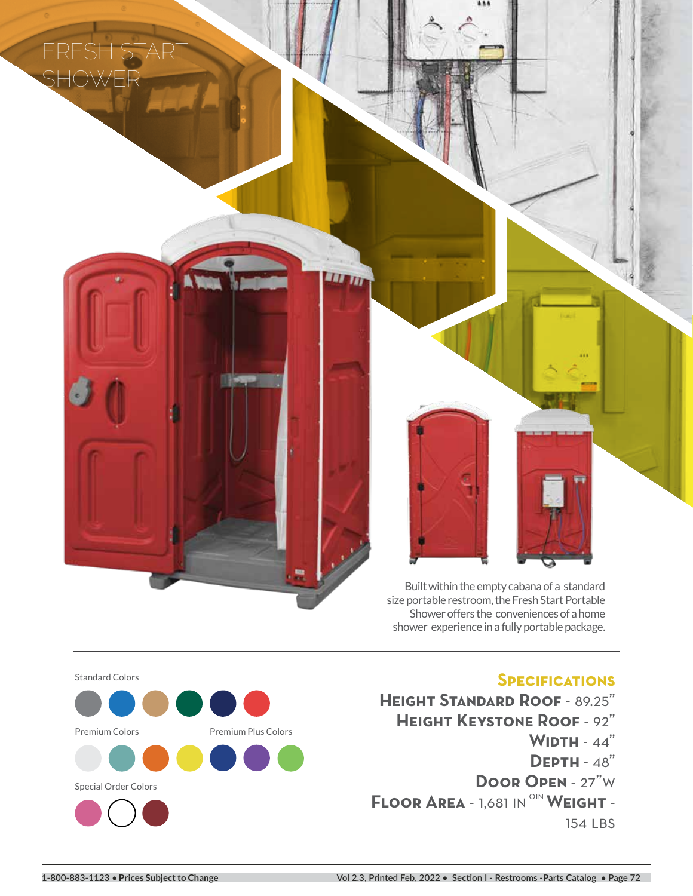FRESH ST **SHOWER**



LUND



# **Specifications**

**Height Standard Roof** - 89.25" **Height Keystone Roof** - 92" **Width** - 44" **Depth** - 48" **Door Open** - 27"w **FLOOR AREA - 1,681 IN <sup>OIN</sup> WEIGHT -**154 LBS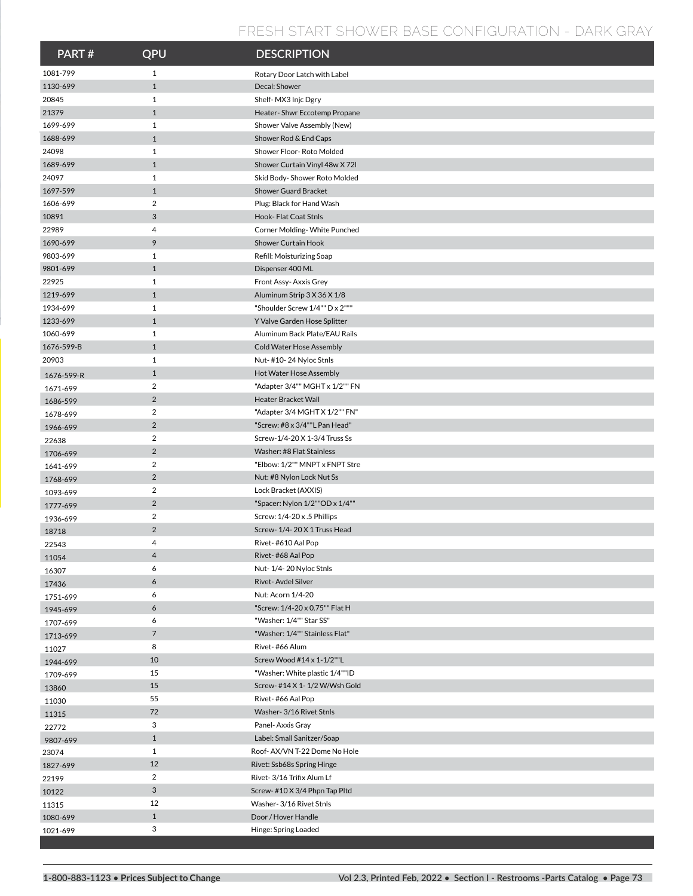### **FRESH START SHOWER BASE CONFIGURATION - DARK GRAY**

| PART#                | QPU                              | <b>DESCRIPTION</b>                                             |
|----------------------|----------------------------------|----------------------------------------------------------------|
| 1081-799             | $\mathbf{1}$                     | Rotary Door Latch with Label                                   |
| 1130-699             | $\mathbf{1}$                     | Decal: Shower                                                  |
| 20845                | $\mathbf{1}$                     | Shelf-MX3 Injc Dgry                                            |
| 21379                | $\mathbf{1}$                     | Heater-Shwr Eccotemp Propane                                   |
| 1699-699             | $\mathbf{1}$                     | Shower Valve Assembly (New)                                    |
| 1688-699             | $\mathbf{1}$                     | Shower Rod & End Caps                                          |
| 24098                | $\mathbf{1}$                     | Shower Floor-Roto Molded                                       |
| 1689-699             | $\mathbf{1}$                     | Shower Curtain Vinyl 48w X 72I                                 |
| 24097                | $\mathbf{1}$                     | Skid Body-Shower Roto Molded                                   |
| 1697-599             | $\mathbf{1}$                     | <b>Shower Guard Bracket</b>                                    |
| 1606-699             | $\overline{a}$                   | Plug: Black for Hand Wash                                      |
| 10891                | 3                                | Hook- Flat Coat Stnls                                          |
| 22989                | 4                                | Corner Molding- White Punched                                  |
| 1690-699             | 9                                | <b>Shower Curtain Hook</b>                                     |
| 9803-699             | $\mathbf{1}$                     | Refill: Moisturizing Soap                                      |
| 9801-699             | $\mathbf{1}$                     | Dispenser 400 ML                                               |
| 22925                | $\mathbf{1}$                     | Front Assy-Axxis Grey                                          |
| 1219-699             | $\mathbf{1}$                     | Aluminum Strip 3 X 36 X 1/8                                    |
| 1934-699             | $\mathbf{1}$                     | "Shoulder Screw 1/4"" D x 2"""                                 |
| 1233-699             | $\mathbf{1}$                     | Y Valve Garden Hose Splitter                                   |
| 1060-699             | $\mathbf{1}$                     | Aluminum Back Plate/EAU Rails                                  |
| 1676-599-B           | $\mathbf{1}$                     | <b>Cold Water Hose Assembly</b>                                |
| 20903                | 1                                | Nut-#10-24 Nyloc Stnls                                         |
| 1676-599-R           | $\mathbf{1}$                     | Hot Water Hose Assembly                                        |
| 1671-699             | $\overline{2}$                   | "Adapter 3/4"" MGHT x 1/2"" FN                                 |
| 1686-599             | $\overline{2}$<br>$\overline{2}$ | Heater Bracket Wall                                            |
| 1678-699             | $\overline{2}$                   | "Adapter 3/4 MGHT X 1/2"" FN"<br>"Screw: #8 x 3/4""L Pan Head" |
| 1966-699             | $\overline{2}$                   | Screw-1/4-20 X 1-3/4 Truss Ss                                  |
| 22638                | $\overline{2}$                   | Washer: #8 Flat Stainless                                      |
| 1706-699             | $\overline{2}$                   | "Elbow: 1/2"" MNPT x FNPT Stre                                 |
| 1641-699             | $\overline{2}$                   | Nut: #8 Nylon Lock Nut Ss                                      |
| 1768-699             | $\overline{2}$                   | Lock Bracket (AXXIS)                                           |
| 1093-699             | $\overline{2}$                   | "Spacer: Nylon 1/2""OD x 1/4""                                 |
| 1777-699<br>1936-699 | $\overline{2}$                   | Screw: 1/4-20 x .5 Phillips                                    |
| 18718                | $\overline{2}$                   | Screw-1/4-20 X 1 Truss Head                                    |
| 22543                | 4                                | Rivet-#610 Aal Pop                                             |
| 11054                | 4                                | Rivet-#68 Aal Pop                                              |
| 16307                | 6                                | Nut-1/4-20 Nyloc Stnls                                         |
| 17436                | 6                                | Rivet-Avdel Silver                                             |
| 1751-699             | 6                                | Nut: Acorn 1/4-20                                              |
| 1945-699             | 6                                | "Screw: 1/4-20 x 0.75"" Flat H                                 |
| 1707-699             | 6                                | "Washer: 1/4"" Star SS"                                        |
| 1713-699             | $\overline{7}$                   | "Washer: 1/4"" Stainless Flat"                                 |
| 11027                | 8                                | Rivet-#66 Alum                                                 |
| 1944-699             | 10                               | Screw Wood #14 x 1-1/2""L                                      |
| 1709-699             | 15                               | "Washer: White plastic 1/4""ID                                 |
| 13860                | 15                               | Screw- #14 X 1- 1/2 W/Wsh Gold                                 |
| 11030                | 55                               | Rivet-#66 Aal Pop                                              |
| 11315                | 72                               | Washer- 3/16 Rivet Stnls                                       |
| 22772                | 3                                | Panel- Axxis Gray                                              |
| 9807-699             | $\mathbf{1}$                     | Label: Small Sanitzer/Soap                                     |
| 23074                | $\mathbf{1}$                     | Roof-AX/VN T-22 Dome No Hole                                   |
| 1827-699             | 12                               | Rivet: Ssb68s Spring Hinge                                     |
| 22199                | $\overline{2}$                   | Rivet-3/16 Trifix Alum Lf                                      |
| 10122                | 3                                | Screw-#10 X 3/4 Phpn Tap Pltd                                  |
| 11315                | 12                               | Washer- 3/16 Rivet Stnls                                       |
| 1080-699             | $\mathbf{1}$                     | Door / Hover Handle                                            |
| 1021-699             | 3                                | Hinge: Spring Loaded                                           |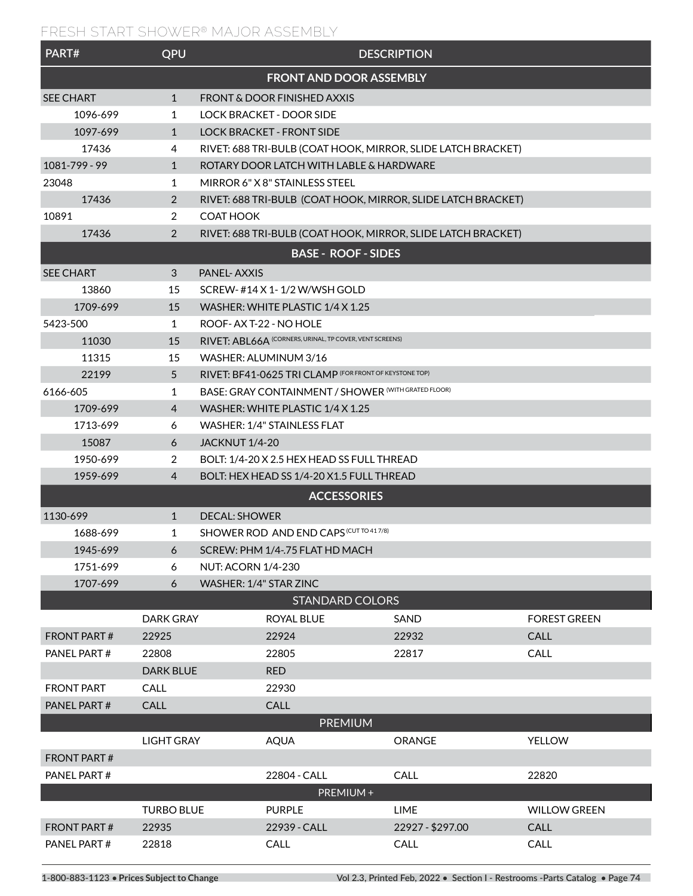## **FRESH START SHOWER® MAJOR ASSEMBLY**

| PART#                          | QPU               |                                                              |                                           | <b>DESCRIPTION</b>                                           |                     |  |  |
|--------------------------------|-------------------|--------------------------------------------------------------|-------------------------------------------|--------------------------------------------------------------|---------------------|--|--|
| <b>FRONT AND DOOR ASSEMBLY</b> |                   |                                                              |                                           |                                                              |                     |  |  |
| <b>SEE CHART</b>               | $\mathbf{1}$      | FRONT & DOOR FINISHED AXXIS                                  |                                           |                                                              |                     |  |  |
| 1096-699                       | $\mathbf{1}$      | <b>LOCK BRACKET - DOOR SIDE</b>                              |                                           |                                                              |                     |  |  |
| 1097-699                       | $\mathbf{1}$      | <b>LOCK BRACKET - FRONT SIDE</b>                             |                                           |                                                              |                     |  |  |
| 17436                          | 4                 | RIVET: 688 TRI-BULB (COAT HOOK, MIRROR, SLIDE LATCH BRACKET) |                                           |                                                              |                     |  |  |
| 1081-799 - 99                  | $\mathbf{1}$      |                                                              | ROTARY DOOR LATCH WITH LABLE & HARDWARE   |                                                              |                     |  |  |
| 23048                          | 1                 | MIRROR 6" X 8" STAINLESS STEEL                               |                                           |                                                              |                     |  |  |
| 17436                          | $\overline{2}$    |                                                              |                                           | RIVET: 688 TRI-BULB (COAT HOOK, MIRROR, SLIDE LATCH BRACKET) |                     |  |  |
| 10891                          | $\overline{2}$    | <b>COAT HOOK</b>                                             |                                           |                                                              |                     |  |  |
| 17436                          | $\overline{2}$    |                                                              |                                           | RIVET: 688 TRI-BULB (COAT HOOK, MIRROR, SLIDE LATCH BRACKET) |                     |  |  |
|                                |                   |                                                              | <b>BASE - ROOF - SIDES</b>                |                                                              |                     |  |  |
| <b>SEE CHART</b>               | 3                 | <b>PANEL-AXXIS</b>                                           |                                           |                                                              |                     |  |  |
| 13860                          | 15                | SCREW-#14 X 1-1/2 W/WSH GOLD                                 |                                           |                                                              |                     |  |  |
| 1709-699                       | 15                | WASHER: WHITE PLASTIC 1/4 X 1.25                             |                                           |                                                              |                     |  |  |
| 5423-500                       | 1                 | ROOF-AX T-22 - NO HOLE                                       |                                           |                                                              |                     |  |  |
| 11030                          | 15                | RIVET: ABL66A (CORNERS, URINAL, TP COVER, VENT SCREENS)      |                                           |                                                              |                     |  |  |
| 11315                          | 15                | WASHER: ALUMINUM 3/16                                        |                                           |                                                              |                     |  |  |
| 22199                          | 5                 | RIVET: BF41-0625 TRI CLAMP (FOR FRONT OF KEYSTONE TOP)       |                                           |                                                              |                     |  |  |
| 6166-605                       | 1                 | BASE: GRAY CONTAINMENT / SHOWER (WITH GRATED FLOOR)          |                                           |                                                              |                     |  |  |
| 1709-699                       | 4                 | WASHER: WHITE PLASTIC 1/4 X 1.25                             |                                           |                                                              |                     |  |  |
| 1713-699                       | 6                 | WASHER: 1/4" STAINLESS FLAT                                  |                                           |                                                              |                     |  |  |
| 15087                          | 6                 | <b>JACKNUT 1/4-20</b>                                        |                                           |                                                              |                     |  |  |
| 1950-699                       | 2                 | BOLT: 1/4-20 X 2.5 HEX HEAD SS FULL THREAD                   |                                           |                                                              |                     |  |  |
| 1959-699                       | 4                 |                                                              | BOLT: HEX HEAD SS 1/4-20 X1.5 FULL THREAD |                                                              |                     |  |  |
|                                |                   |                                                              | <b>ACCESSORIES</b>                        |                                                              |                     |  |  |
| 1130-699                       | $\mathbf{1}$      | <b>DECAL: SHOWER</b>                                         |                                           |                                                              |                     |  |  |
| 1688-699                       | 1                 |                                                              | SHOWER ROD AND END CAPS (CUT TO 41 7/8)   |                                                              |                     |  |  |
| 1945-699                       | 6                 | SCREW: PHM 1/4-.75 FLAT HD MACH                              |                                           |                                                              |                     |  |  |
| 1751-699                       | 6                 | <b>NUT: ACORN 1/4-230</b>                                    |                                           |                                                              |                     |  |  |
| 1707-699                       | 6                 | WASHER: 1/4" STAR ZINC                                       |                                           |                                                              |                     |  |  |
|                                |                   |                                                              | <b>STANDARD COLORS</b>                    |                                                              |                     |  |  |
|                                | <b>DARK GRAY</b>  |                                                              | <b>ROYAL BLUE</b>                         | SAND                                                         | <b>FOREST GREEN</b> |  |  |
| <b>FRONT PART#</b>             | 22925             | 22924                                                        |                                           | 22932                                                        | <b>CALL</b>         |  |  |
| PANEL PART#                    | 22808             |                                                              | 22805                                     | 22817                                                        | CALL                |  |  |
|                                | <b>DARK BLUE</b>  | <b>RED</b>                                                   |                                           |                                                              |                     |  |  |
| <b>FRONT PART</b>              | CALL              |                                                              | 22930                                     |                                                              |                     |  |  |
| PANEL PART#                    | <b>CALL</b>       |                                                              | <b>CALL</b>                               |                                                              |                     |  |  |
|                                |                   |                                                              | <b>PREMIUM</b>                            |                                                              |                     |  |  |
|                                | <b>LIGHT GRAY</b> | <b>AQUA</b>                                                  |                                           | ORANGE                                                       | <b>YELLOW</b>       |  |  |
| <b>FRONT PART#</b>             |                   |                                                              |                                           |                                                              |                     |  |  |
| PANEL PART#                    |                   |                                                              | 22804 - CALL                              | CALL                                                         | 22820               |  |  |
|                                |                   |                                                              | PREMIUM+                                  |                                                              |                     |  |  |
|                                | <b>TURBO BLUE</b> | <b>PURPLE</b>                                                |                                           | <b>LIME</b>                                                  | <b>WILLOW GREEN</b> |  |  |
| <b>FRONT PART#</b>             | 22935             |                                                              | 22939 - CALL                              | 22927 - \$297.00                                             | CALL                |  |  |
| PANEL PART#                    | 22818             |                                                              | CALL                                      | CALL                                                         | CALL                |  |  |
|                                |                   |                                                              |                                           |                                                              |                     |  |  |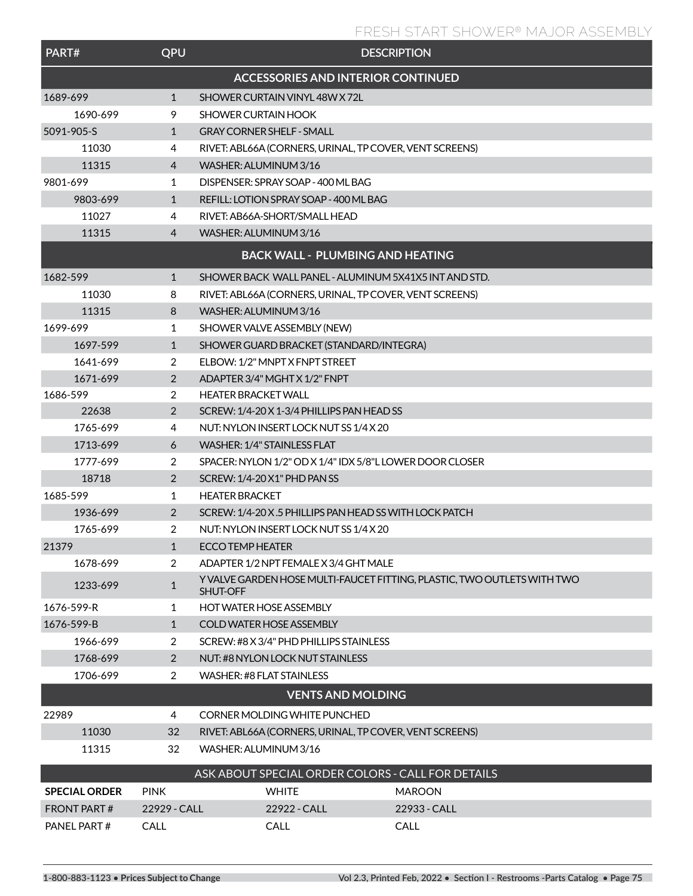### **FRESH START SHOWER® MAJOR ASSEMBLY**

| PART#                | QPU            | <b>DESCRIPTION</b>                                                                  |               |  |  |
|----------------------|----------------|-------------------------------------------------------------------------------------|---------------|--|--|
|                      |                | <b>ACCESSORIES AND INTERIOR CONTINUED</b>                                           |               |  |  |
| 1689-699             | 1              | SHOWER CURTAIN VINYL48W X 72L                                                       |               |  |  |
| 1690-699             | 9              | <b>SHOWER CURTAIN HOOK</b>                                                          |               |  |  |
| 5091-905-S           | $\mathbf{1}$   | <b>GRAY CORNER SHELF - SMALL</b>                                                    |               |  |  |
| 11030                | 4              | RIVET: ABL66A (CORNERS, URINAL, TP COVER, VENT SCREENS)                             |               |  |  |
| 11315                | 4              | WASHER: ALUMINUM 3/16                                                               |               |  |  |
| 9801-699             | 1              | DISPENSER: SPRAY SOAP - 400 ML BAG                                                  |               |  |  |
| 9803-699             | $\mathbf{1}$   | REFILL: LOTION SPRAY SOAP - 400 ML BAG                                              |               |  |  |
| 11027                | 4              | RIVET: AB66A-SHORT/SMALL HEAD                                                       |               |  |  |
| 11315                | 4              | WASHER: ALUMINUM 3/16                                                               |               |  |  |
|                      |                | <b>BACK WALL - PLUMBING AND HEATING</b>                                             |               |  |  |
| 1682-599             | 1              | SHOWER BACK WALL PANEL - ALUMINUM 5X41X5 INT AND STD.                               |               |  |  |
| 11030                | 8              | RIVET: ABL66A (CORNERS, URINAL, TP COVER, VENT SCREENS)                             |               |  |  |
| 11315                | 8              | WASHER: ALUMINUM 3/16                                                               |               |  |  |
| 1699-699             | 1              | SHOWER VALVE ASSEMBLY (NEW)                                                         |               |  |  |
| 1697-599             | $\mathbf{1}$   | SHOWER GUARD BRACKET (STANDARD/INTEGRA)                                             |               |  |  |
| 1641-699             | 2              | ELBOW: 1/2" MNPT X FNPT STREET                                                      |               |  |  |
| 1671-699             | 2              | ADAPTER 3/4" MGHT X 1/2" FNPT                                                       |               |  |  |
| 1686-599             | 2              | <b>HEATER BRACKET WALL</b>                                                          |               |  |  |
| 22638                | $\overline{2}$ | SCREW: 1/4-20 X 1-3/4 PHILLIPS PAN HEAD SS                                          |               |  |  |
| 1765-699             | 4              | NUT: NYLON INSERT LOCK NUT SS 1/4 X 20                                              |               |  |  |
| 1713-699             | 6              | WASHER: 1/4" STAINLESS FLAT                                                         |               |  |  |
| 1777-699             | 2              | SPACER: NYLON 1/2" OD X 1/4" IDX 5/8"L LOWER DOOR CLOSER                            |               |  |  |
| 18718                | $\overline{2}$ | SCREW: 1/4-20 X1" PHD PAN SS                                                        |               |  |  |
| 1685-599             | 1              | <b>HEATER BRACKET</b>                                                               |               |  |  |
| 1936-699             | $\overline{2}$ | SCREW: 1/4-20 X.5 PHILLIPS PAN HEAD SS WITH LOCK PATCH                              |               |  |  |
| 1765-699             | 2              | NUT: NYLON INSERT LOCK NUT SS 1/4 X 20                                              |               |  |  |
| 21379                | 1              | ECCO TEMP HEATER                                                                    |               |  |  |
| 1678-699             | 2              | ADAPTER 1/2 NPT FEMALE X 3/4 GHT MALE                                               |               |  |  |
| 1233-699             | $\mathbf{1}$   | Y VALVE GARDEN HOSE MULTI-FAUCET FITTING, PLASTIC, TWO OUTLETS WITH TWO<br>SHUT-OFF |               |  |  |
| 1676-599-R           | 1              | <b>HOT WATER HOSE ASSEMBLY</b>                                                      |               |  |  |
| 1676-599-B           | $\mathbf{1}$   | COLD WATER HOSE ASSEMBLY                                                            |               |  |  |
| 1966-699             | 2              | SCREW: #8 X 3/4" PHD PHILLIPS STAINLESS                                             |               |  |  |
| 1768-699             | $\overline{2}$ | NUT: #8 NYLON LOCK NUT STAINLESS                                                    |               |  |  |
| 1706-699             | 2              | <b>WASHER: #8 FLAT STAINLESS</b>                                                    |               |  |  |
|                      |                | <b>VENTS AND MOLDING</b>                                                            |               |  |  |
| 22989                | 4              | CORNER MOLDING WHITE PUNCHED                                                        |               |  |  |
| 11030                | 32             | RIVET: ABL66A (CORNERS, URINAL, TP COVER, VENT SCREENS)                             |               |  |  |
| 11315                | 32             | WASHER: ALUMINUM 3/16                                                               |               |  |  |
|                      |                | ASK ABOUT SPECIAL ORDER COLORS - CALL FOR DETAILS                                   |               |  |  |
| <b>SPECIAL ORDER</b> | <b>PINK</b>    | <b>WHITE</b>                                                                        | <b>MAROON</b> |  |  |
| <b>FRONT PART#</b>   | 22929 - CALL   | 22922 - CALL                                                                        | 22933 - CALL  |  |  |
| PANEL PART#          | CALL           | CALL<br>CALL                                                                        |               |  |  |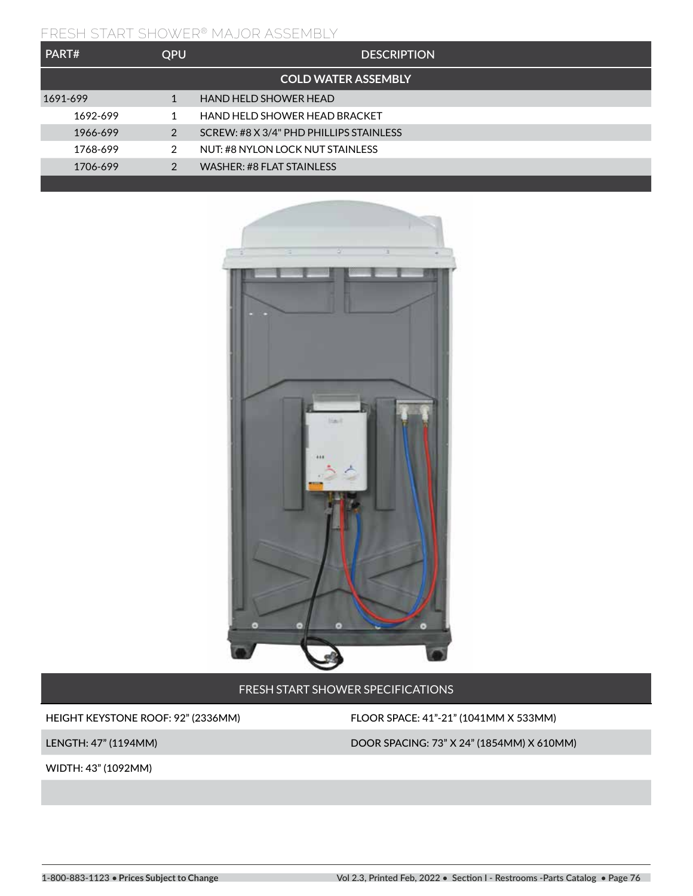#### **FRESH START SHOWER® MAJOR ASSEMBLY**

| PART#                      | <b>OPU</b> | <b>DESCRIPTION</b>                      |  |  |  |  |
|----------------------------|------------|-----------------------------------------|--|--|--|--|
| <b>COLD WATER ASSEMBLY</b> |            |                                         |  |  |  |  |
| 1691-699                   | 1          | HAND HELD SHOWER HEAD                   |  |  |  |  |
| 1692-699                   |            | HAND HELD SHOWER HEAD BRACKET           |  |  |  |  |
| 1966-699                   | 2          | SCREW: #8 X 3/4" PHD PHILLIPS STAINLESS |  |  |  |  |
| 1768-699                   | 2          | NUT: #8 NYLON LOCK NUT STAINLESS        |  |  |  |  |
| 1706-699                   | 2          | WASHER: #8 FLAT STAINLESS               |  |  |  |  |



FRESH START SHOWER SPECIFICATIONS

HEIGHT KEYSTONE ROOF: 92" (2336MM) FLOOR SPACE: 41"-21" (1041MM X 533MM)

WIDTH: 43" (1092MM)

LENGTH: 47" (1194MM) DOOR SPACING: 73" X 24" (1854MM) X 610MM)